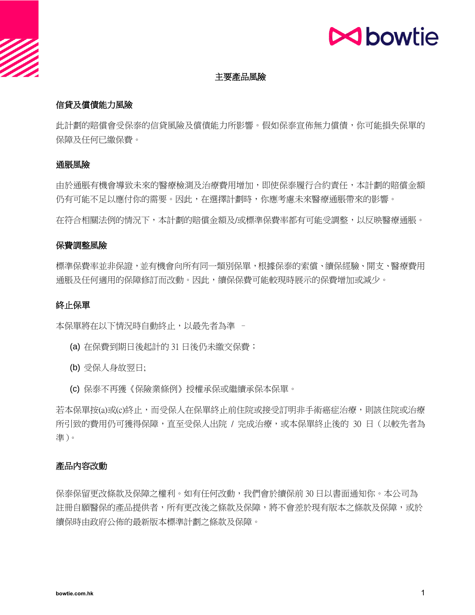## **N**bowtie

#### 主要產品風險

## 信貸及償債能力風險

此計劃的賠償會受保泰的信貸風險及償債能力所影響。假如保泰宣佈無力償債,你可能損失保單的 保障及任何已繳保費。

#### 通脹風險

由於通脹有機會導致未來的醫療檢測及治療費用增加,即使保泰履行合約責任,本計劃的賠償金額 仍有可能不足以應付你的需要。因此,在選擇計劃時,你應考慮未來醫療通脹帶來的影響。

在符合相關法例的情況下,本計劃的賠償金額及/或標準保費率都有可能受調整,以反映醫療通脹。

#### 保費調整風險

標準保費率並非保證,並有機會向所有同一類別保單,根據保泰的索償、續保經驗、開支、醫療費用 通脹及任何適用的保障修訂而改動。因此,續保保費可能較現時展示的保費增加或減少。

#### 終止保單

本保單將在以下情況時自動終止,以最先者為準 -

- (a) 在保費到期日後起計的 31 日後仍未繳交保費;
- (b) 受保人身故翌日;
- (c) 保泰不再獲《保險業條例》授權承保或繼續承保本保單。

若本保單按(a)或(c)終止,而受保人在保單終止前住院或接受訂明非手術癌症治療,則該住院或治療 所引致的費用仍可獲得保障,直至受保人出院 / 完成治療,或本保單終止後的 30 日 (以較先者為 準)。

## 產品內容改動

保泰保留更改條款及保障之權利。如有任何改動,我們會於續保前 30 日以書面通知你。本公司為 註冊自願醫保的產品提供者,所有更改後之條款及保障,將不會差於現有版本之條款及保障,或於 續保時由政府公佈的最新版本標準計劃之條款及保障。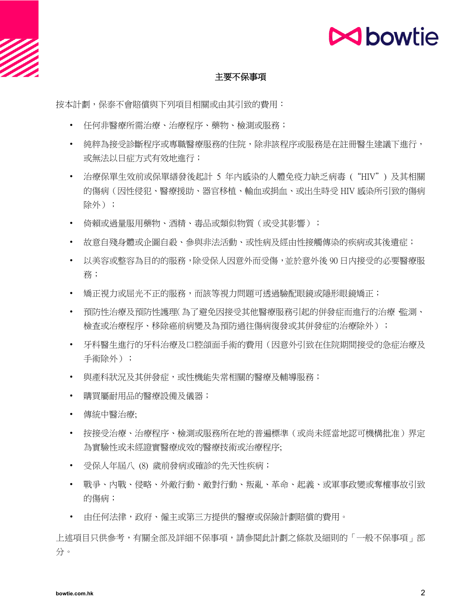

## **N**bowtie

## 主要不保事項

按本計劃,保泰不會賠償與下列項目相關或由其引致的費用:

- 任何非醫療所需治療、治療程序、藥物、檢測或服務;
- 納粹為接受診斷程序或專職醫療服務的住院,除非該程序或服務是在註冊醫生建議下進行, 或無法以日症方式有效地進行;
- 治療保單生效前或保單繕發後起計 5 年內感染的人體免疫力缺乏病毒 ("HIV") 及其相關 的傷病(因性侵犯、醫療援助、器官移植、輸血或捐血、或出生時受 HIV 感染所引致的傷病 除外);
- 倚賴或過量服用藥物、酒精、毒品或類似物質(或受其影響);
- 故意自殘身體或企圖自殺、參與非法活動、或性病及經由性接觸傳染的疾病或其後遺症;
- 以美容或整容為目的的服務,除受保人因意外而受傷,並於意外後 90 日内接受的必要醫療服 務;
- 矯正視力或屈光不正的服務,而該等視力問題可诱過驗配眼鏡或隱形眼鏡矯正;
- 預防性治療及預防性護理(為了避免因接受其他醫療服務引起的併發症而進行的治療、監測、 檢杳或治療程序、移除癌前病變及為預防過往傷病復發或其併發症的治療除外);
- 牙科醫生進行的牙科治療及口腔頜面手術的費用(因意外引致在住院期間接受的急症治療及 手術除外);
- 與產科狀況及其併發症,或性機能失常相關的醫療及輔導服務;
- 購買屬耐用品的醫療設備及儀器;
- 傳統中醫治療;
- 按接受治療、治療程序、檢測或服務所在地的普遍標準(或尚未經當地認可機構批准)界定 為實驗性或未經證實醫療成效的醫療技術或治療程序;
- 受保人年屆八 (8) 歲前發病或確診的先天性疾病;
- 戰爭、內戰、侵略、外敵行動、敵對行動、叛亂、革命、起義、或軍事政變或奪權事故引致 的傷病;
- 由任何法律,政府、僱主或第三方提供的醫療或保險計劃賠償的費用。

上述項目只供參考,有關全部及詳細不保事項,請參閱此計劃之條款及細則的「一般不保事項」部 分。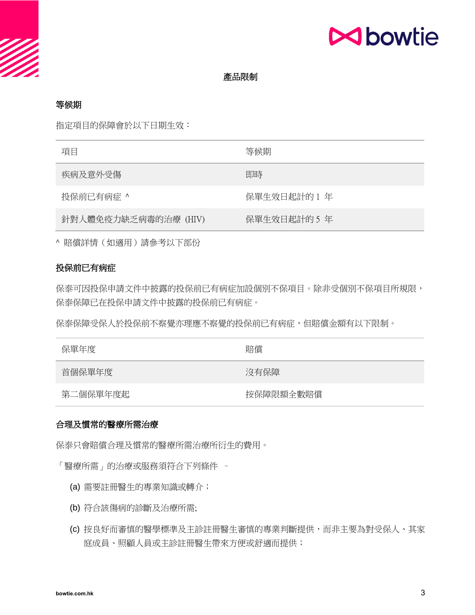

#### 產品限制

#### 等候期

指定項目的保障會於以下日期生效:

| 項目                   | 等候期          |
|----------------------|--------------|
| 疾病及意外受傷              | 即時           |
| 投保前已有病症 ^            | 保單生效日起計的 1 年 |
| 針對人體免疫力缺乏病毒的治療 (HIV) | 保單生效日起計的 5 年 |

^ 賠償詳情(如適用)請參考以下部份

## 投保前已有病症

保泰可因投保申請文件中披露的投保前已有病症加設個別不保項目。除非受個別不保項目所規限, 保泰保障已在投保申請文件中披露的投保前已有病症。

保泰保障受保人於投保前不察覺不察覺的投保前已有病症,但賠償金額有以下限制。

| 保單年度     | 賠償        |
|----------|-----------|
| 首個保單年度   | 沒有保障      |
| 第二個保單年度起 | 按保障限額全數賠償 |

#### 合理及慣常的醫療所需治療

保泰只會賠償合理及慣常的醫療所需治療所衍生的費用。

「醫療所需」的治療或服務須符合下列條件 –

- (a) 需要註冊醫生的專業知識或轉介;
- (b) 符合該傷病的診斷及治療所需;
- (c) 按良好而審慎的醫學標準及主診註冊醫生審慎的專業判斷提供,而非主要為對受保人、其家 庭成員、照顧人員或主診註冊醫生帶來方便或舒適而提供;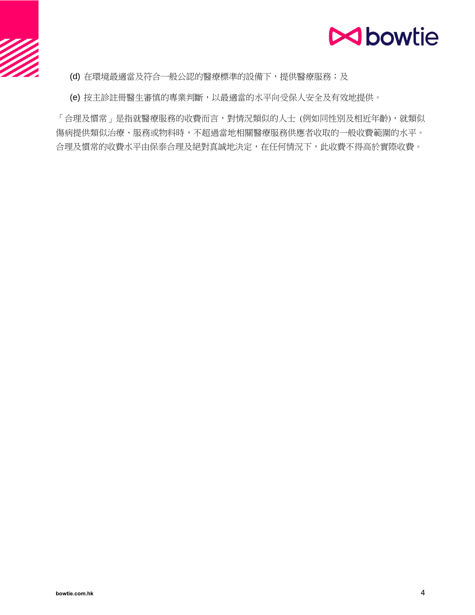

(d) 在環境最適當及符合一般公認的醫療標準的設備下,提供醫療服務;及

(e) 按主診註冊醫生審慎的專業判斷,以最適當的水平向受保人安全及有效地提供。

「合理及慣常」是指就醫療服務的收費而言,對情況類似的人士(例如同性別及相近年齡),就類似 傷病提供類似治療、服務或物料時,不超過當地相關醫療服務供應者收取的一般收費範圍的水平。 合理及慣常的收費水平由保泰合理及絕對真誠地決定,在任何情況下,此收費不得高於實際收費。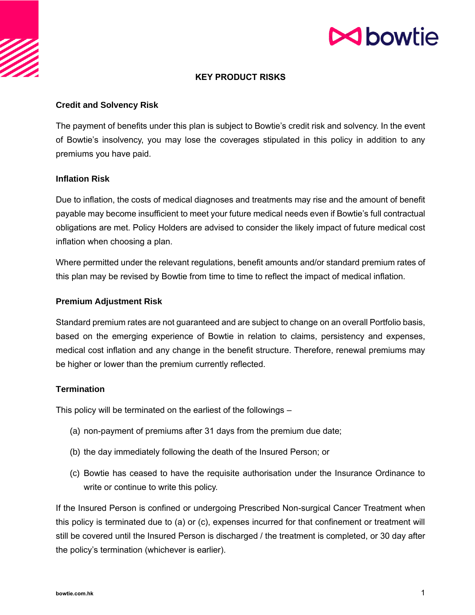# **M**bowtie

## **KEY PRODUCT RISKS**

## **Credit and Solvency Risk**

The payment of benefits under this plan is subject to Bowtie's credit risk and solvency. In the event of Bowtie's insolvency, you may lose the coverages stipulated in this policy in addition to any premiums you have paid.

#### **Inflation Risk**

Due to inflation, the costs of medical diagnoses and treatments may rise and the amount of benefit payable may become insufficient to meet your future medical needs even if Bowtie's full contractual obligations are met. Policy Holders are advised to consider the likely impact of future medical cost inflation when choosing a plan.

Where permitted under the relevant regulations, benefit amounts and/or standard premium rates of this plan may be revised by Bowtie from time to time to reflect the impact of medical inflation.

#### **Premium Adjustment Risk**

Standard premium rates are not guaranteed and are subject to change on an overall Portfolio basis, based on the emerging experience of Bowtie in relation to claims, persistency and expenses, medical cost inflation and any change in the benefit structure. Therefore, renewal premiums may be higher or lower than the premium currently reflected.

## **Termination**

This policy will be terminated on the earliest of the followings –

- (a) non-payment of premiums after 31 days from the premium due date;
- (b) the day immediately following the death of the Insured Person; or
- (c) Bowtie has ceased to have the requisite authorisation under the Insurance Ordinance to write or continue to write this policy.

If the Insured Person is confined or undergoing Prescribed Non-surgical Cancer Treatment when this policy is terminated due to (a) or (c), expenses incurred for that confinement or treatment will still be covered until the Insured Person is discharged / the treatment is completed, or 30 day after the policy's termination (whichever is earlier).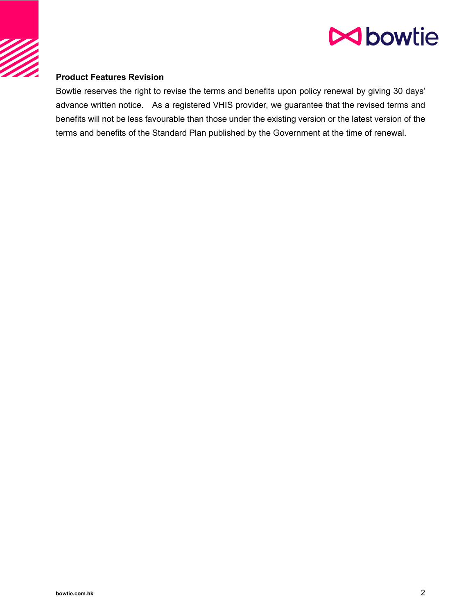



## **Product Features Revision**

Bowtie reserves the right to revise the terms and benefits upon policy renewal by giving 30 days' advance written notice. As a registered VHIS provider, we guarantee that the revised terms and benefits will not be less favourable than those under the existing version or the latest version of the terms and benefits of the Standard Plan published by the Government at the time of renewal.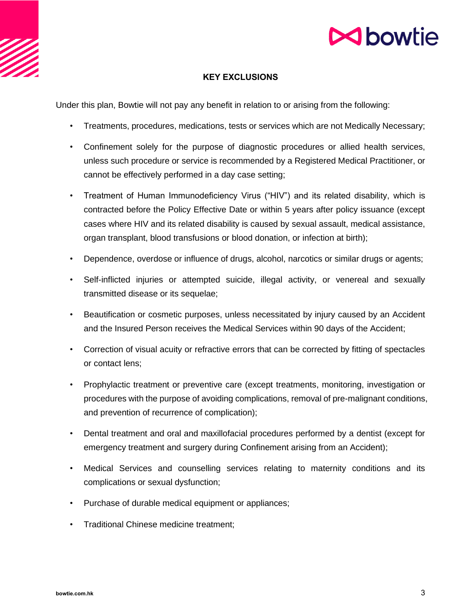

# **M**bowtie

## **KEY EXCLUSIONS**

Under this plan, Bowtie will not pay any benefit in relation to or arising from the following:

- Treatments, procedures, medications, tests or services which are not Medically Necessary;
- Confinement solely for the purpose of diagnostic procedures or allied health services, unless such procedure or service is recommended by a Registered Medical Practitioner, or cannot be effectively performed in a day case setting;
- Treatment of Human Immunodeficiency Virus ("HIV") and its related disability, which is contracted before the Policy Effective Date or within 5 years after policy issuance (except cases where HIV and its related disability is caused by sexual assault, medical assistance, organ transplant, blood transfusions or blood donation, or infection at birth);
- Dependence, overdose or influence of drugs, alcohol, narcotics or similar drugs or agents;
- Self-inflicted injuries or attempted suicide, illegal activity, or venereal and sexually transmitted disease or its sequelae;
- Beautification or cosmetic purposes, unless necessitated by injury caused by an Accident and the Insured Person receives the Medical Services within 90 days of the Accident;
- Correction of visual acuity or refractive errors that can be corrected by fitting of spectacles or contact lens;
- Prophylactic treatment or preventive care (except treatments, monitoring, investigation or procedures with the purpose of avoiding complications, removal of pre-malignant conditions, and prevention of recurrence of complication);
- Dental treatment and oral and maxillofacial procedures performed by a dentist (except for emergency treatment and surgery during Confinement arising from an Accident);
- Medical Services and counselling services relating to maternity conditions and its complications or sexual dysfunction;
- Purchase of durable medical equipment or appliances;
- Traditional Chinese medicine treatment;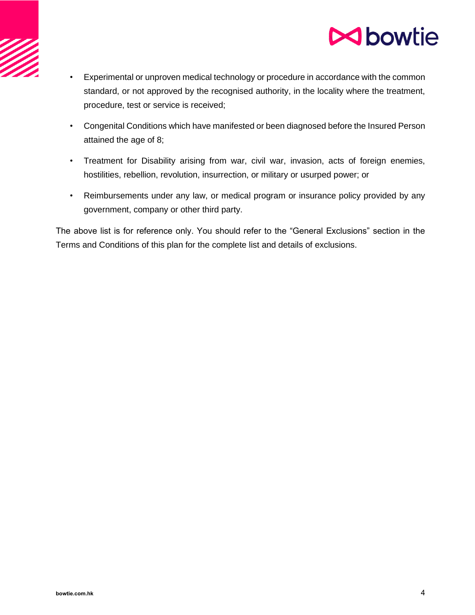



- Experimental or unproven medical technology or procedure in accordance with the common standard, or not approved by the recognised authority, in the locality where the treatment, procedure, test or service is received;
- Congenital Conditions which have manifested or been diagnosed before the Insured Person attained the age of 8;
- Treatment for Disability arising from war, civil war, invasion, acts of foreign enemies, hostilities, rebellion, revolution, insurrection, or military or usurped power; or
- Reimbursements under any law, or medical program or insurance policy provided by any government, company or other third party.

The above list is for reference only. You should refer to the "General Exclusions" section in the Terms and Conditions of this plan for the complete list and details of exclusions.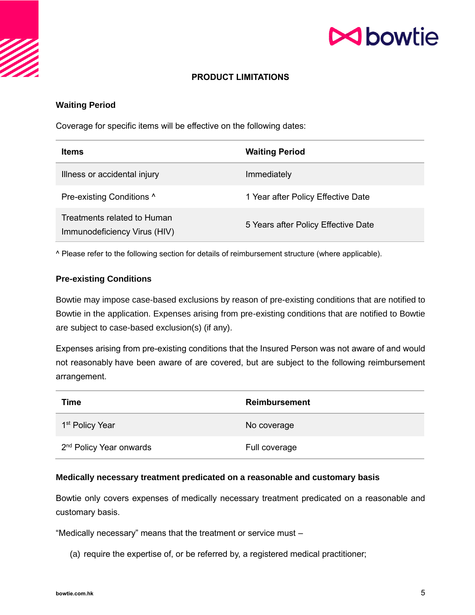# **N**bowtie

## **PRODUCT LIMITATIONS**

## **Waiting Period**

Coverage for specific items will be effective on the following dates:

| <b>Items</b>                                                | <b>Waiting Period</b>               |
|-------------------------------------------------------------|-------------------------------------|
| Illness or accidental injury                                | Immediately                         |
| Pre-existing Conditions ^                                   | 1 Year after Policy Effective Date  |
| Treatments related to Human<br>Immunodeficiency Virus (HIV) | 5 Years after Policy Effective Date |

^ Please refer to the following section for details of reimbursement structure (where applicable).

#### **Pre-existing Conditions**

Bowtie may impose case-based exclusions by reason of pre-existing conditions that are notified to Bowtie in the application. Expenses arising from pre-existing conditions that are notified to Bowtie are subject to case-based exclusion(s) (if any).

Expenses arising from pre-existing conditions that the Insured Person was not aware of and would not reasonably have been aware of are covered, but are subject to the following reimbursement arrangement.

| Time                                | <b>Reimbursement</b> |
|-------------------------------------|----------------------|
| 1 <sup>st</sup> Policy Year         | No coverage          |
| 2 <sup>nd</sup> Policy Year onwards | Full coverage        |

#### **Medically necessary treatment predicated on a reasonable and customary basis**

Bowtie only covers expenses of medically necessary treatment predicated on a reasonable and customary basis.

"Medically necessary" means that the treatment or service must –

(a) require the expertise of, or be referred by, a registered medical practitioner;